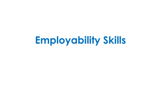# **Employability Skills**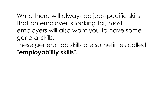While there will always be job-specific skills that an employer is looking for, most employers will also want you to have some general skills. These general job skills are sometimes called **"employability skills".**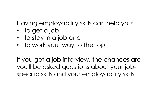Having employability skills can help you:

- to get a job
- to stay in a job and
- to work your way to the top.

If you get a job interview, the chances are you'll be asked questions about your jobspecific skills and your employability skills.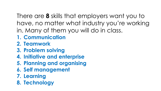There are **8** skills that employers want you to have, no matter what industry you're working in. Many of them you will do in class.

- **1. Communication**
- **2. Teamwork**
- **3. Problem solving**
- **4. Initiative and enterprise**
- **5. Planning and organising**
- **6. Self management**
- **7. Learning**
- **8. Technology**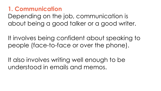#### **1. Communication**

Depending on the job, communication is about being a good talker or a good writer.

It involves being confident about speaking to people (face-to-face or over the phone).

It also involves writing well enough to be understood in emails and memos.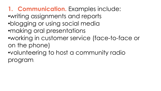**1. Communication.** Examples include:

- •writing assignments and reports
- •blogging or using social media
- •making oral presentations
- •working in customer service (face-to-face or on the phone)
- •volunteering to host a community radio program.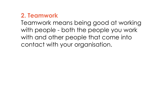#### **2. Teamwork**

Teamwork means being good at working with people - both the people you work with and other people that come into contact with your organisation.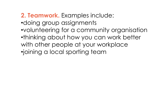**2. Teamwork.** Examples include: •doing group assignments •volunteering for a community organisation •thinking about how you can work better with other people at your workplace •joining a local sporting team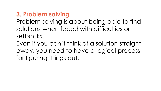# **3. Problem solving**

Problem solving is about being able to find solutions when faced with difficulties or setbacks.

Even if you can't think of a solution straight away, you need to have a logical process for figuring things out.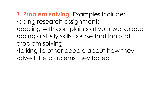# **3. Problem solving.** Examples include:

- •doing research assignments
- •dealing with complaints at your workplace
- •doing a study skills course that looks at problem solving
- •talking to other people about how they solved the problems they faced.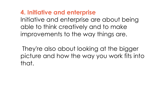**4. Initiative and enterprise** Initiative and enterprise are about being able to think creatively and to make improvements to the way things are.

They're also about looking at the bigger picture and how the way you work fits into that.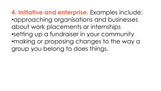**4. Initiative and enterprise.** Examples include: •approaching organisations and businesses about work placements or internships •setting up a fundraiser in your community •making or proposing changes to the way a group you belong to does things.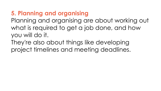# **5. Planning and organising**

Planning and organising are about working out what is required to get a job done, and how you will do it.

They're also about things like developing project timelines and meeting deadlines.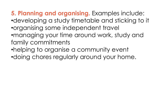**5. Planning and organising.** Examples include:

- •developing a study timetable and sticking to it •organising some independent travel
- •managing your time around work, study and family commitments
- •helping to organise a community event
- •doing chores regularly around your home.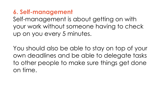**6. Self-management** Self-management is about getting on with your work without someone having to check up on you every 5 minutes.

You should also be able to stay on top of your own deadlines and be able to delegate tasks to other people to make sure things get done on time.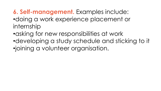**6. Self-management.** Examples include: •doing a work experience placement or internship

- •asking for new responsibilities at work
- •developing a study schedule and sticking to it •joining a volunteer organisation.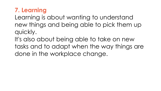#### **7. Learning**

Learning is about wanting to understand new things and being able to pick them up quickly.

It's also about being able to take on new tasks and to adapt when the way things are done in the workplace change.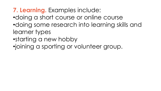# **7. Learning.** Examples include:

- •doing a short course or online course
- •doing some research into learning skills and learner types
- •starting a new hobby
- •joining a sporting or volunteer group.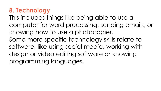### **8. Technology**

This includes things like being able to use a computer for word processing, sending emails, or knowing how to use a photocopier. Some more specific technology skills relate to software, like using social media, working with design or video editing software or knowing programming languages.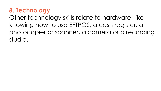#### **8. Technology**

Other technology skills relate to hardware, like knowing how to use EFTPOS, a cash register, a photocopier or scanner, a camera or a recording studio.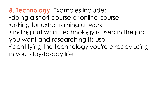**8. Technology.** Examples include: •doing a short course or online course •asking for extra training at work •finding out what technology is used in the job you want and researching its use •identifying the technology you're already using in your day-to-day life